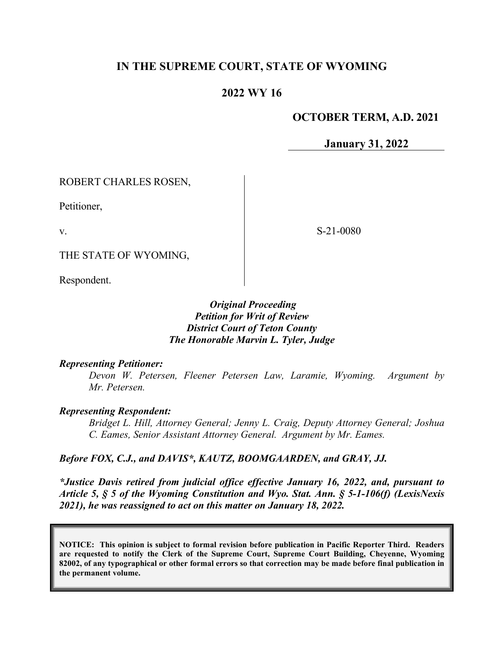# **IN THE SUPREME COURT, STATE OF WYOMING**

## **2022 WY 16**

### **OCTOBER TERM, A.D. 2021**

**January 31, 2022**

ROBERT CHARLES ROSEN,

Petitioner,

v.

S-21-0080

THE STATE OF WYOMING,

Respondent.

#### *Original Proceeding Petition for Writ of Review District Court of Teton County The Honorable Marvin L. Tyler, Judge*

#### *Representing Petitioner:*

*Devon W. Petersen, Fleener Petersen Law, Laramie, Wyoming. Argument by Mr. Petersen.*

#### *Representing Respondent:*

*Bridget L. Hill, Attorney General; Jenny L. Craig, Deputy Attorney General; Joshua C. Eames, Senior Assistant Attorney General. Argument by Mr. Eames.*

#### *Before FOX, C.J., and DAVIS\*, KAUTZ, BOOMGAARDEN, and GRAY, JJ.*

*\*Justice Davis retired from judicial office effective January 16, 2022, and, pursuant to Article 5, § 5 of the Wyoming Constitution and Wyo. Stat. Ann. § 5-1-106(f) (LexisNexis 2021), he was reassigned to act on this matter on January 18, 2022.*

**NOTICE: This opinion is subject to formal revision before publication in Pacific Reporter Third. Readers are requested to notify the Clerk of the Supreme Court, Supreme Court Building, Cheyenne, Wyoming 82002, of any typographical or other formal errors so that correction may be made before final publication in the permanent volume.**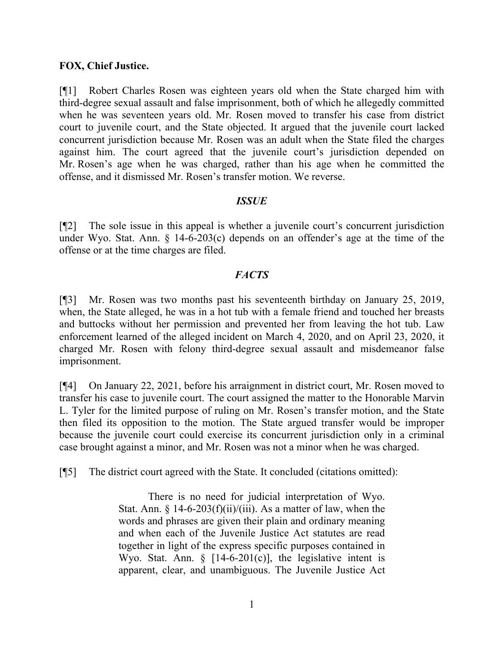#### **FOX, Chief Justice.**

[¶1] Robert Charles Rosen was eighteen years old when the State charged him with third-degree sexual assault and false imprisonment, both of which he allegedly committed when he was seventeen years old. Mr. Rosen moved to transfer his case from district court to juvenile court, and the State objected. It argued that the juvenile court lacked concurrent jurisdiction because Mr. Rosen was an adult when the State filed the charges against him. The court agreed that the juvenile court's jurisdiction depended on Mr. Rosen's age when he was charged, rather than his age when he committed the offense, and it dismissed Mr. Rosen's transfer motion. We reverse.

### *ISSUE*

[¶2] The sole issue in this appeal is whether a juvenile court's concurrent jurisdiction under Wyo. Stat. Ann. § 14-6-203(c) depends on an offender's age at the time of the offense or at the time charges are filed.

### *FACTS*

[¶3] Mr. Rosen was two months past his seventeenth birthday on January 25, 2019, when, the State alleged, he was in a hot tub with a female friend and touched her breasts and buttocks without her permission and prevented her from leaving the hot tub. Law enforcement learned of the alleged incident on March 4, 2020, and on April 23, 2020, it charged Mr. Rosen with felony third-degree sexual assault and misdemeanor false imprisonment.

[¶4] On January 22, 2021, before his arraignment in district court, Mr. Rosen moved to transfer his case to juvenile court. The court assigned the matter to the Honorable Marvin L. Tyler for the limited purpose of ruling on Mr. Rosen's transfer motion, and the State then filed its opposition to the motion. The State argued transfer would be improper because the juvenile court could exercise its concurrent jurisdiction only in a criminal case brought against a minor, and Mr. Rosen was not a minor when he was charged.

[¶5] The district court agreed with the State. It concluded (citations omitted):

There is no need for judicial interpretation of Wyo. Stat. Ann.  $\S$  14-6-203(f)(ii)/(iii). As a matter of law, when the words and phrases are given their plain and ordinary meaning and when each of the Juvenile Justice Act statutes are read together in light of the express specific purposes contained in Wyo. Stat. Ann.  $\S$  [14-6-201(c)], the legislative intent is apparent, clear, and unambiguous. The Juvenile Justice Act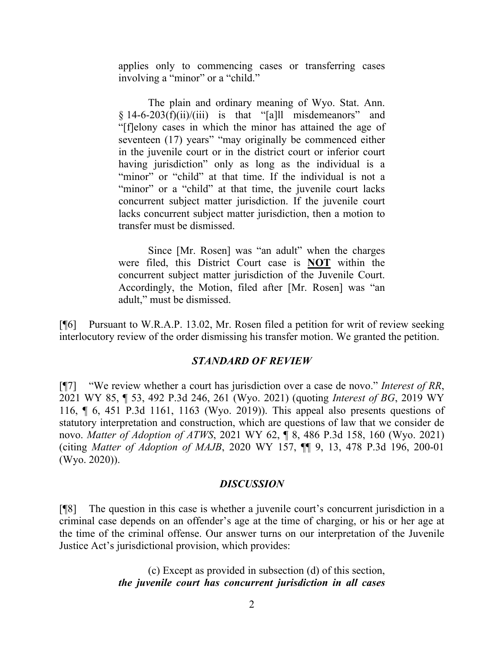applies only to commencing cases or transferring cases involving a "minor" or a "child."

The plain and ordinary meaning of Wyo. Stat. Ann.  $§ 14-6-203(f)(ii)/(iii)$  is that "[a]ll misdemeanors" and "[f]elony cases in which the minor has attained the age of seventeen (17) years" "may originally be commenced either in the juvenile court or in the district court or inferior court having jurisdiction" only as long as the individual is a "minor" or "child" at that time. If the individual is not a "minor" or a "child" at that time, the juvenile court lacks concurrent subject matter jurisdiction. If the juvenile court lacks concurrent subject matter jurisdiction, then a motion to transfer must be dismissed.

Since [Mr. Rosen] was "an adult" when the charges were filed, this District Court case is **NOT** within the concurrent subject matter jurisdiction of the Juvenile Court. Accordingly, the Motion, filed after [Mr. Rosen] was "an adult," must be dismissed.

[¶6] Pursuant to W.R.A.P. 13.02, Mr. Rosen filed a petition for writ of review seeking interlocutory review of the order dismissing his transfer motion. We granted the petition.

#### *STANDARD OF REVIEW*

[¶7] "We review whether a court has jurisdiction over a case de novo." *Interest of RR*, 2021 WY 85, ¶ 53, 492 P.3d 246, 261 (Wyo. 2021) (quoting *[Interest of BG](http://www.westlaw.com/Link/Document/FullText?findType=Y&serNum=2049619714&pubNum=0004645&originatingDoc=Ib1738f90ee7f11eb92f4aa6c49e228c0&refType=RP&fi=co_pp_sp_4645_1163&originationContext=document&vr=3.0&rs=cblt1.0&transitionType=DocumentItem&contextData=(sc.Search)#co_pp_sp_4645_1163)*, 2019 WY [116, ¶ 6, 451 P.3d 1161, 1163 \(Wyo. 2019\)\)](http://www.westlaw.com/Link/Document/FullText?findType=Y&serNum=2049619714&pubNum=0004645&originatingDoc=Ib1738f90ee7f11eb92f4aa6c49e228c0&refType=RP&fi=co_pp_sp_4645_1163&originationContext=document&vr=3.0&rs=cblt1.0&transitionType=DocumentItem&contextData=(sc.Search)#co_pp_sp_4645_1163). This appeal also presents questions of statutory interpretation and construction, which are questions of law that we consider de novo. *Matter of Adoption of ATWS*, 2021 WY 62, ¶ 8, 486 P.3d 158, 160 (Wyo. 2021) (citing *Matter of Adoption of MAJB*[, 2020 WY 157, ¶¶ 9, 13, 478 P.3d 196, 200-01](http://www.westlaw.com/Link/Document/FullText?findType=Y&serNum=2052652217&pubNum=0004645&originatingDoc=I8acc2e60adf211eba9d6c133a8bc9328&refType=RP&fi=co_pp_sp_4645_200&originationContext=document&vr=3.0&rs=cblt1.0&transitionType=DocumentItem&contextData=(sc.Search)#co_pp_sp_4645_200)  [\(Wyo. 2020\)\)](http://www.westlaw.com/Link/Document/FullText?findType=Y&serNum=2052652217&pubNum=0004645&originatingDoc=I8acc2e60adf211eba9d6c133a8bc9328&refType=RP&fi=co_pp_sp_4645_200&originationContext=document&vr=3.0&rs=cblt1.0&transitionType=DocumentItem&contextData=(sc.Search)#co_pp_sp_4645_200).

#### *DISCUSSION*

[¶8] The question in this case is whether a juvenile court's concurrent jurisdiction in a criminal case depends on an offender's age at the time of charging, or his or her age at the time of the criminal offense. Our answer turns on our interpretation of the Juvenile Justice Act's jurisdictional provision, which provides:

> (c) Except as provided in subsection (d) of this section, *the juvenile court has concurrent jurisdiction in all cases*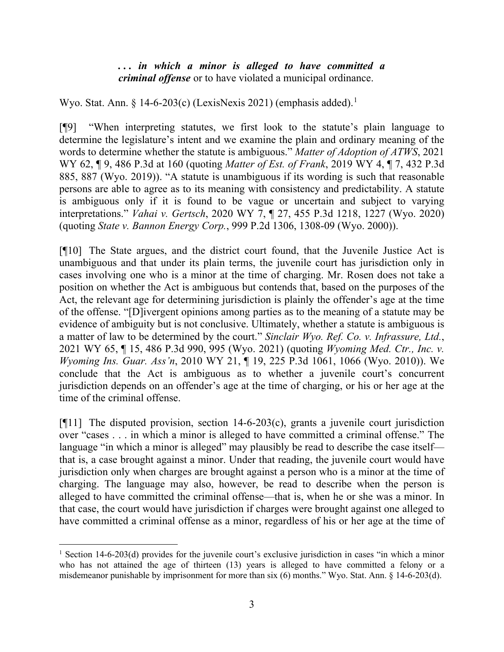#### *. . . in which a minor is alleged to have committed a criminal offense* or to have violated a municipal ordinance.

Wyo. Stat. Ann. § [1](#page-3-0)4-6-203(c) (LexisNexis 2021) (emphasis added).<sup>1</sup>

[¶9] "When interpreting statutes, we first look to the statute's plain language to determine the legislature's intent and we examine the plain and ordinary meaning of the words to determine whether the statute is ambiguous." *Matter of Adoption of ATWS*, 2021 WY 62, ¶ 9, 486 P.3d at 160 (quoting *Matter of Est. of Frank*[, 2019 WY 4, ¶ 7,](http://www.westlaw.com/Link/Document/FullText?findType=Y&serNum=2047315572&pubNum=0004645&originatingDoc=I8acc2e60adf211eba9d6c133a8bc9328&refType=RP&fi=co_pp_sp_4645_887&originationContext=document&vr=3.0&rs=cblt1.0&transitionType=DocumentItem&contextData=(sc.Search)#co_pp_sp_4645_887) 432 P.3d [885, 887 \(Wyo. 2019\)\)](http://www.westlaw.com/Link/Document/FullText?findType=Y&serNum=2047315572&pubNum=0004645&originatingDoc=I8acc2e60adf211eba9d6c133a8bc9328&refType=RP&fi=co_pp_sp_4645_887&originationContext=document&vr=3.0&rs=cblt1.0&transitionType=DocumentItem&contextData=(sc.Search)#co_pp_sp_4645_887). "A statute is unambiguous if its wording is such that reasonable persons are able to agree as to its meaning with consistency and predictability. A statute is ambiguous only if it is found to be vague or uncertain and subject to varying interpretations." *Vahai v. Gertsch*, 2020 WY 7, ¶ 27, 455 P.3d 1218, 1227 (Wyo. 2020) (quoting *State v. Bannon Energy Corp.*[, 999 P.2d 1306, 1308-09 \(Wyo. 2000\)\)](http://www.westlaw.com/Link/Document/FullText?findType=Y&serNum=2000081854&pubNum=0000661&originatingDoc=I52f95230380311ea9c50eae3965d52d0&refType=RP&fi=co_pp_sp_661_1308&originationContext=document&vr=3.0&rs=cblt1.0&transitionType=DocumentItem&contextData=(sc.Search)#co_pp_sp_661_1308).

[¶10] The State argues, and the district court found, that the Juvenile Justice Act is unambiguous and that under its plain terms, the juvenile court has jurisdiction only in cases involving one who is a minor at the time of charging. Mr. Rosen does not take a position on whether the Act is ambiguous but contends that, based on the purposes of the Act, the relevant age for determining jurisdiction is plainly the offender's age at the time of the offense. "[D]ivergent opinions among parties as to the meaning of a statute may be evidence of ambiguity but is not conclusive. Ultimately, whether a statute is ambiguous is a matter of law to be determined by the court." *Sinclair Wyo. Ref. Co. v. Infrassure, Ltd.*, 2021 WY 65, ¶ 15, 486 P.3d 990, 995 (Wyo. 2021) (quoting *Wyoming [Med. Ctr., Inc. v.](http://www.westlaw.com/Link/Document/FullText?findType=Y&serNum=2021436880&pubNum=0004645&originatingDoc=I9aa65ef0b1df11ebbfe8d873c1c72202&refType=RP&fi=co_pp_sp_4645_1066&originationContext=document&vr=3.0&rs=cblt1.0&transitionType=DocumentItem&contextData=(sc.Search)#co_pp_sp_4645_1066)  Wyoming Ins. Guar. Ass'n*[, 2010 WY 21, ¶ 19, 225 P.3d 1061, 1066 \(Wyo. 2010\)\)](http://www.westlaw.com/Link/Document/FullText?findType=Y&serNum=2021436880&pubNum=0004645&originatingDoc=I9aa65ef0b1df11ebbfe8d873c1c72202&refType=RP&fi=co_pp_sp_4645_1066&originationContext=document&vr=3.0&rs=cblt1.0&transitionType=DocumentItem&contextData=(sc.Search)#co_pp_sp_4645_1066). We conclude that the Act is ambiguous as to whether a juvenile court's concurrent jurisdiction depends on an offender's age at the time of charging, or his or her age at the time of the criminal offense.

[ $[$ [11] The disputed provision, section 14-6-203(c), grants a juvenile court jurisdiction over "cases . . . in which a minor is alleged to have committed a criminal offense." The language "in which a minor is alleged" may plausibly be read to describe the case itself that is, a case brought against a minor. Under that reading, the juvenile court would have jurisdiction only when charges are brought against a person who is a minor at the time of charging. The language may also, however, be read to describe when the person is alleged to have committed the criminal offense—that is, when he or she was a minor. In that case, the court would have jurisdiction if charges were brought against one alleged to have committed a criminal offense as a minor, regardless of his or her age at the time of

<span id="page-3-0"></span><sup>&</sup>lt;sup>1</sup> Section 14-6-203(d) provides for the juvenile court's exclusive jurisdiction in cases "in which a minor who has not attained the age of thirteen (13) years is alleged to have committed a felony or a misdemeanor punishable by imprisonment for more than six (6) months." Wyo. Stat. Ann. § 14-6-203(d).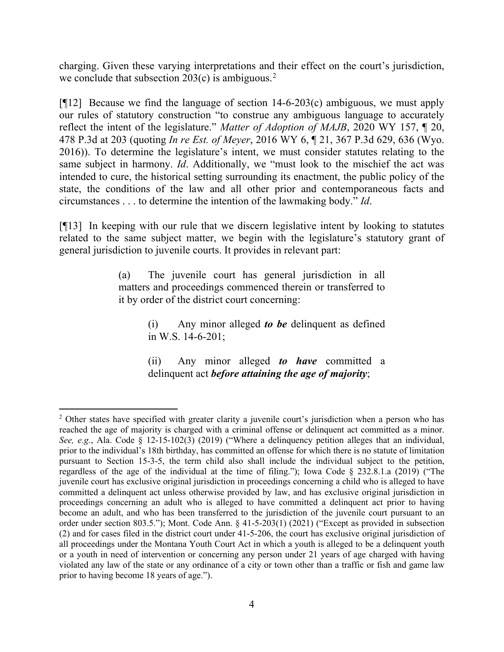charging. Given these varying interpretations and their effect on the court's jurisdiction, we conclude that subsection  $203(c)$  $203(c)$  is ambiguous.<sup>2</sup>

[¶12] Because we find the language of section 14-6-203(c) ambiguous, we must apply our rules of statutory construction "to construe any ambiguous language to accurately reflect the intent of the legislature." *Matter of Adoption of MAJB*, 2020 WY 157, ¶ 20, 478 P.3d at 203 (quoting *In re Est. of Meyer*, 2016 WY [6, ¶ 21, 367 P.3d 629, 636 \(Wyo.](http://www.westlaw.com/Link/Document/FullText?findType=Y&serNum=2038097920&pubNum=0004645&originatingDoc=Icd1a9240496411ebbe20d81a53907f9d&refType=RP&fi=co_pp_sp_4645_636&originationContext=document&vr=3.0&rs=cblt1.0&transitionType=DocumentItem&contextData=(sc.Search)#co_pp_sp_4645_636)  [2016\)\)](http://www.westlaw.com/Link/Document/FullText?findType=Y&serNum=2038097920&pubNum=0004645&originatingDoc=Icd1a9240496411ebbe20d81a53907f9d&refType=RP&fi=co_pp_sp_4645_636&originationContext=document&vr=3.0&rs=cblt1.0&transitionType=DocumentItem&contextData=(sc.Search)#co_pp_sp_4645_636). To determine the legislature's intent, we must consider statutes relating to the same subject in harmony. *Id*. Additionally, we "must look to the mischief the act was intended to cure, the historical setting surrounding its enactment, the public policy of the state, the conditions of the law and all other prior and contemporaneous facts and circumstances . . . to determine the intention of the lawmaking body." *[Id](http://www.westlaw.com/Link/Document/FullText?findType=Y&serNum=2038097920&pubNum=0006431&originatingDoc=Icd1a9240496411ebbe20d81a53907f9d&refType=RP&originationContext=document&vr=3.0&rs=cblt1.0&transitionType=DocumentItem&contextData=(sc.Search))*.

[¶13] In keeping with our rule that we discern legislative intent by looking to statutes related to the same subject matter, we begin with the legislature's statutory grant of general jurisdiction to juvenile courts. It provides in relevant part:

> (a) The juvenile court has general jurisdiction in all matters and proceedings commenced therein or transferred to it by order of the district court concerning:

> > (i) Any minor alleged *to be* delinquent as defined in [W.S. 14-6-201;](http://www.westlaw.com/Link/Document/FullText?findType=L&pubNum=1000377&cite=WYSTS14-6-201&originatingDoc=NEC054B30130F11DDA95A8E9A1A243DA5&refType=LQ&originationContext=document&vr=3.0&rs=cblt1.0&transitionType=DocumentItem&contextData=(sc.UserEnteredCitation))

> > (ii) Any minor alleged *to have* committed a delinquent act *before attaining the age of majority*;

<span id="page-4-0"></span><sup>&</sup>lt;sup>2</sup> Other states have specified with greater clarity a juvenile court's jurisdiction when a person who has reached the age of majority is charged with a criminal offense or delinquent act committed as a minor. *See, e.g.*, Ala. Code § 12-15-102(3) (2019) ("Where a delinquency petition alleges that an individual, prior to the individual's 18th birthday, has committed an offense for which there is no statute of limitation pursuant to [Section 15-3-5,](http://www.westlaw.com/Link/Document/FullText?findType=L&pubNum=1000002&cite=ALSTS15-3-5&originatingDoc=N49DA0170A75A11E99884901F1FBAFBF4&refType=LQ&originationContext=document&vr=3.0&rs=cblt1.0&transitionType=DocumentItem&contextData=(sc.DocLink)) the term child also shall include the individual subject to the petition, regardless of the age of the individual at the time of filing."); Iowa Code § 232.8.1.a (2019) ("The juvenile court has exclusive original jurisdiction in proceedings concerning a child who is alleged to have committed a delinquent act unless otherwise provided by law, and has exclusive original jurisdiction in proceedings concerning an adult who is alleged to have committed a delinquent act prior to having become an adult, and who has been transferred to the jurisdiction of the juvenile court pursuant to an order under [section 803.5.](http://www.westlaw.com/Link/Document/FullText?findType=L&pubNum=1000256&cite=IASTS803.5&originatingDoc=NF39F0F108BE511E984C6B72F156B0EC8&refType=LQ&originationContext=document&vr=3.0&rs=cblt1.0&transitionType=DocumentItem&contextData=(sc.DocLink))"); Mont. Code Ann. § 41-5-203(1) (2021) ("Except as provided in subsection (2) and for cases filed in the district court under [41-5-206,](http://www.westlaw.com/Link/Document/FullText?findType=L&pubNum=1002018&cite=MTST41-5-206&originatingDoc=N5814A180B35611DE82CCC134927ACBBE&refType=LQ&originationContext=document&vr=3.0&rs=cblt1.0&transitionType=DocumentItem&contextData=(sc.DocLink)) the court has exclusive original jurisdiction of all proceedings under the Montana Youth Court Act in which a youth is alleged to be a delinquent youth or a youth in need of intervention or concerning any person under 21 years of age charged with having violated any law of the state or any ordinance of a city or town other than a traffic or fish and game law prior to having become 18 years of age.").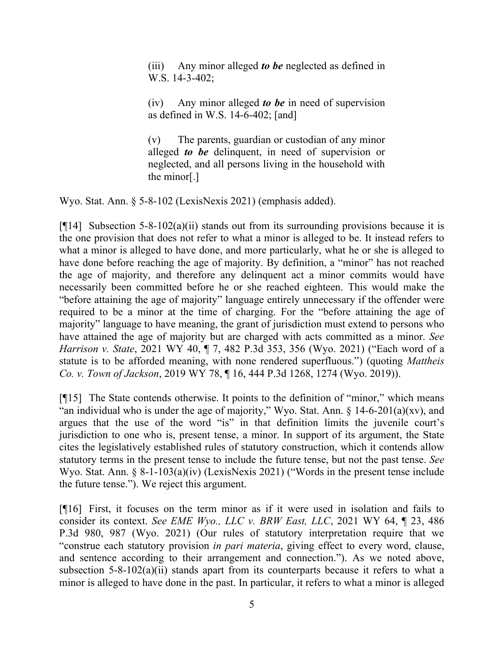(iii) Any minor alleged *to be* neglected as defined in [W.S. 14-3-402;](http://www.westlaw.com/Link/Document/FullText?findType=L&pubNum=1000377&cite=WYSTS14-3-402&originatingDoc=NEC054B30130F11DDA95A8E9A1A243DA5&refType=LQ&originationContext=document&vr=3.0&rs=cblt1.0&transitionType=DocumentItem&contextData=(sc.UserEnteredCitation))

(iv) Any minor alleged *to be* in need of supervision as defined in [W.S. 14-6-402;](http://www.westlaw.com/Link/Document/FullText?findType=L&pubNum=1000377&cite=WYSTS14-6-402&originatingDoc=NEC054B30130F11DDA95A8E9A1A243DA5&refType=LQ&originationContext=document&vr=3.0&rs=cblt1.0&transitionType=DocumentItem&contextData=(sc.UserEnteredCitation)) [and]

(v) The parents, guardian or custodian of any minor alleged *to be* delinquent, in need of supervision or neglected, and all persons living in the household with the minor[.]

Wyo. Stat. Ann. § 5-8-102 (LexisNexis 2021) (emphasis added).

[ $[14]$ ] Subsection 5-8-102(a)(ii) stands out from its surrounding provisions because it is the one provision that does not refer to what a minor is alleged to be. It instead refers to what a minor is alleged to have done, and more particularly, what he or she is alleged to have done before reaching the age of majority. By definition, a "minor" has not reached the age of majority, and therefore any delinquent act a minor commits would have necessarily been committed before he or she reached eighteen. This would make the "before attaining the age of majority" language entirely unnecessary if the offender were required to be a minor at the time of charging. For the "before attaining the age of majority" language to have meaning, the grant of jurisdiction must extend to persons who have attained the age of majority but are charged with acts committed as a minor. *See Harrison v. State*, 2021 WY 40, ¶ 7, 482 P.3d 353, 356 (Wyo. 2021) ("Each word of a statute is to be afforded meaning, with none rendered superfluous.") (quoting *[Mattheis](http://www.westlaw.com/Link/Document/FullText?findType=Y&serNum=2048746689&pubNum=0004645&originatingDoc=I6cfedc70806b11eb8c75eb3bff74da20&refType=RP&fi=co_pp_sp_4645_1274&originationContext=document&vr=3.0&rs=cblt1.0&transitionType=DocumentItem&contextData=(sc.Search)#co_pp_sp_4645_1274)  Co. v. Town of Jackson*, 2019 WY 78, ¶ 16, 444 [P.3d 1268, 1274 \(Wyo. 2019\)\)](http://www.westlaw.com/Link/Document/FullText?findType=Y&serNum=2048746689&pubNum=0004645&originatingDoc=I6cfedc70806b11eb8c75eb3bff74da20&refType=RP&fi=co_pp_sp_4645_1274&originationContext=document&vr=3.0&rs=cblt1.0&transitionType=DocumentItem&contextData=(sc.Search)#co_pp_sp_4645_1274).

[¶15] The State contends otherwise. It points to the definition of "minor," which means "an individual who is under the age of majority," Wyo. Stat. Ann.  $\S$  14-6-201(a)(xv), and argues that the use of the word "is" in that definition limits the juvenile court's jurisdiction to one who is, present tense, a minor. In support of its argument, the State cites the legislatively established rules of statutory construction, which it contends allow statutory terms in the present tense to include the future tense, but not the past tense. *See* Wyo. Stat. Ann. § 8-1-103(a)(iv) (LexisNexis 2021) ("Words in the present tense include the future tense."). We reject this argument.

[¶16] First, it focuses on the term minor as if it were used in isolation and fails to consider its context. *See EME Wyo., LLC v. BRW East, LLC*, 2021 WY 64, ¶ 23, 486 P.3d 980, 987 (Wyo. 2021) (Our rules of statutory interpretation require that we "construe each statutory provision *in pari materia*, giving effect to every word, clause, and sentence according to their arrangement and connection."). As we noted above, subsection  $5-8-102(a)(ii)$  stands apart from its counterparts because it refers to what a minor is alleged to have done in the past. In particular, it refers to what a minor is alleged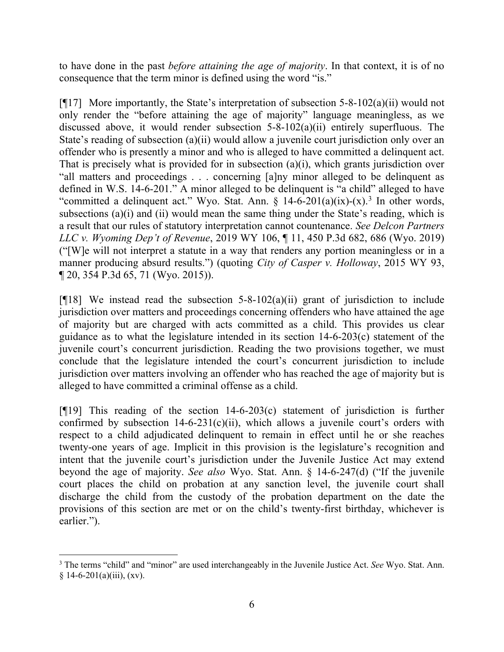to have done in the past *before attaining the age of majority*. In that context, it is of no consequence that the term minor is defined using the word "is."

[ $[17]$ ] More importantly, the State's interpretation of subsection 5-8-102(a)(ii) would not only render the "before attaining the age of majority" language meaningless, as we discussed above, it would render subsection 5-8-102(a)(ii) entirely superfluous. The State's reading of subsection (a)(ii) would allow a juvenile court jurisdiction only over an offender who is presently a minor and who is alleged to have committed a delinquent act. That is precisely what is provided for in subsection (a)(i), which grants jurisdiction over "all matters and proceedings . . . concerning [a]ny minor alleged to be delinquent as defined in W.S. 14-6-201." A minor alleged to be delinquent is "a child" alleged to have "committed a delinquent act." Wyo. Stat. Ann.  $\frac{14-6-201}{a)(ix)-(x)}$  In other words, subsections (a)(i) and (ii) would mean the same thing under the State's reading, which is a result that our rules of statutory interpretation cannot countenance. *See Delcon Partners LLC v. Wyoming Dep't of Revenue*, 2019 WY 106, ¶ 11, 450 P.3d 682, 686 (Wyo. 2019) ("[W]e will not interpret a statute in a way that renders any portion meaningless or in a manner producing absurd results.") (quoting *[City of Casper v. Holloway](http://www.westlaw.com/Link/Document/FullText?findType=Y&serNum=2036722531&pubNum=0004645&originatingDoc=If05a7530f44d11e9ad6fd2296b11a061&refType=RP&fi=co_pp_sp_4645_71&originationContext=document&vr=3.0&rs=cblt1.0&transitionType=DocumentItem&contextData=(sc.Keycite)#co_pp_sp_4645_71)*, 2015 WY 93, ¶ 20, 354 P.3d [65, 71 \(Wyo. 2015\)\)](http://www.westlaw.com/Link/Document/FullText?findType=Y&serNum=2036722531&pubNum=0004645&originatingDoc=If05a7530f44d11e9ad6fd2296b11a061&refType=RP&fi=co_pp_sp_4645_71&originationContext=document&vr=3.0&rs=cblt1.0&transitionType=DocumentItem&contextData=(sc.Keycite)#co_pp_sp_4645_71).

[ $[$ [18] We instead read the subsection 5-8-102(a)(ii) grant of jurisdiction to include jurisdiction over matters and proceedings concerning offenders who have attained the age of majority but are charged with acts committed as a child. This provides us clear guidance as to what the legislature intended in its section 14-6-203(c) statement of the juvenile court's concurrent jurisdiction. Reading the two provisions together, we must conclude that the legislature intended the court's concurrent jurisdiction to include jurisdiction over matters involving an offender who has reached the age of majority but is alleged to have committed a criminal offense as a child.

[¶19] This reading of the section 14-6-203(c) statement of jurisdiction is further confirmed by subsection  $14-6-231(c)(ii)$ , which allows a juvenile court's orders with respect to a child adjudicated delinquent to remain in effect until he or she reaches twenty-one years of age. Implicit in this provision is the legislature's recognition and intent that the juvenile court's jurisdiction under the Juvenile Justice Act may extend beyond the age of majority. *See also* Wyo. Stat. Ann. § 14-6-247(d) ("If the juvenile court places the child on probation at any sanction level, the juvenile court shall discharge the child from the custody of the probation department on the date the provisions of this section are met or on the child's twenty-first birthday, whichever is earlier.").

<span id="page-6-0"></span><sup>3</sup> The terms "child" and "minor" are used interchangeably in the Juvenile Justice Act. *See* Wyo. Stat. Ann.  $§ 14-6-201(a)(iii), (xv).$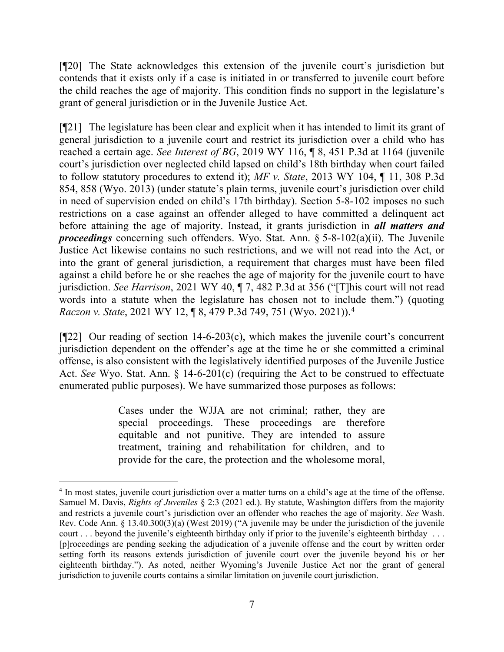[¶20] The State acknowledges this extension of the juvenile court's jurisdiction but contends that it exists only if a case is initiated in or transferred to juvenile court before the child reaches the age of majority. This condition finds no support in the legislature's grant of general jurisdiction or in the Juvenile Justice Act.

[¶21] The legislature has been clear and explicit when it has intended to limit its grant of general jurisdiction to a juvenile court and restrict its jurisdiction over a child who has reached a certain age. *See Interest of BG*, 2019 WY 116, ¶ 8, 451 P.3d at 1164 (juvenile court's jurisdiction over neglected child lapsed on child's 18th birthday when court failed to follow statutory procedures to extend it); *MF v. State*, 2013 WY 104, ¶ 11, 308 P.3d 854, 858 (Wyo. 2013) (under statute's plain terms, juvenile court's jurisdiction over child in need of supervision ended on child's 17th birthday). Section 5-8-102 imposes no such restrictions on a case against an offender alleged to have committed a delinquent act before attaining the age of majority. Instead, it grants jurisdiction in *all matters and proceedings* concerning such offenders. Wyo. Stat. Ann. § 5-8-102(a)(ii). The Juvenile Justice Act likewise contains no such restrictions, and we will not read into the Act, or into the grant of general jurisdiction, a requirement that charges must have been filed against a child before he or she reaches the age of majority for the juvenile court to have jurisdiction. *See Harrison*, 2021 WY 40, ¶ 7, 482 P.3d at 356 ("[T]his court will not read words into a statute when the legislature has chosen not to include them.") (quoting *Raczon v. State*[, 2021 WY 12, ¶ 8, 479 P.3d 749, 751 \(Wyo. 2021\)\)](http://www.westlaw.com/Link/Document/FullText?findType=Y&serNum=2052834532&pubNum=0004645&originatingDoc=I6cfedc70806b11eb8c75eb3bff74da20&refType=RP&fi=co_pp_sp_4645_751&originationContext=document&vr=3.0&rs=cblt1.0&transitionType=DocumentItem&contextData=(sc.Search)#co_pp_sp_4645_751). [4](#page-7-0)

[¶22] Our reading of section 14-6-203(c), which makes the juvenile court's concurrent jurisdiction dependent on the offender's age at the time he or she committed a criminal offense, is also consistent with the legislatively identified purposes of the Juvenile Justice Act. *See* Wyo. Stat. Ann. § 14-6-201(c) (requiring the Act to be construed to effectuate enumerated public purposes). We have summarized those purposes as follows:

> Cases under the WJJA are not criminal; rather, they are special proceedings. These proceedings are therefore equitable and not punitive. They are intended to assure treatment, training and rehabilitation for children, and to provide for the care, the protection and the wholesome moral,

<span id="page-7-0"></span><sup>&</sup>lt;sup>4</sup> In most states, juvenile court jurisdiction over a matter turns on a child's age at the time of the offense. Samuel M. Davis, *Rights of Juveniles* § 2:3 (2021 ed.). By statute, Washington differs from the majority and restricts a juvenile court's jurisdiction over an offender who reaches the age of majority. *See* Wash. Rev. Code Ann. § 13.40.300(3)(a) (West 2019) ("A juvenile may be under the jurisdiction of the juvenile court . . . beyond the juvenile's eighteenth birthday only if prior to the juvenile's eighteenth birthday . . . [p]roceedings are pending seeking the adjudication of a juvenile offense and the court by written order setting forth its reasons extends jurisdiction of juvenile court over the juvenile beyond his or her eighteenth birthday."). As noted, neither Wyoming's Juvenile Justice Act nor the grant of general jurisdiction to juvenile courts contains a similar limitation on juvenile court jurisdiction.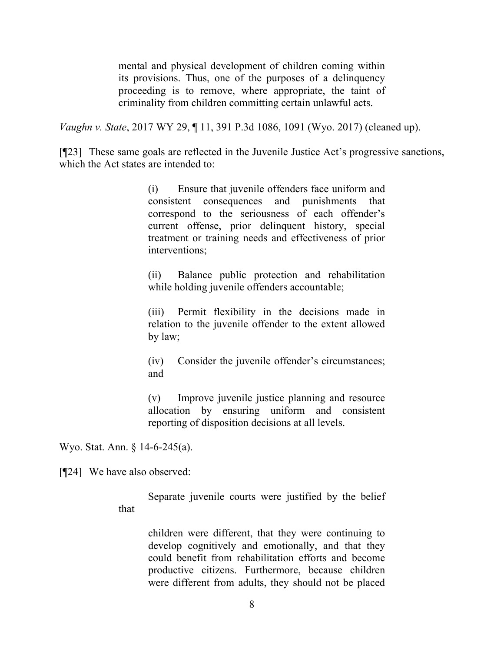mental and physical development of children coming within its provisions. Thus, one of the purposes of a delinquency proceeding is to remove, where appropriate, the taint of criminality from children committing certain unlawful acts.

*Vaughn v. State*, 2017 WY 29, ¶ 11, 391 P.3d 1086, 1091 (Wyo. 2017) (cleaned up).

[¶23] These same goals are reflected in the Juvenile Justice Act's progressive sanctions, which the Act states are intended to:

> (i) Ensure that juvenile offenders face uniform and consistent consequences and punishments that correspond to the seriousness of each offender's current offense, prior delinquent history, special treatment or training needs and effectiveness of prior interventions;

> (ii) Balance public protection and rehabilitation while holding juvenile offenders accountable;

> (iii) Permit flexibility in the decisions made in relation to the juvenile offender to the extent allowed by law;

> (iv) Consider the juvenile offender's circumstances; and

> (v) Improve juvenile justice planning and resource allocation by ensuring uniform and consistent reporting of disposition decisions at all levels.

Wyo. Stat. Ann. § 14-6-245(a).

[¶24] We have also observed:

that

Separate juvenile courts were justified by the belief

children were different, that they were continuing to develop cognitively and emotionally, and that they could benefit from rehabilitation efforts and become productive citizens. Furthermore, because children were different from adults, they should not be placed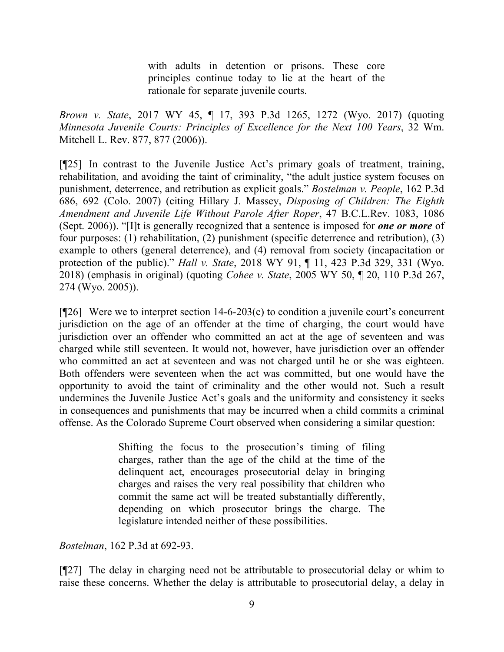with adults in detention or prisons. These core principles continue today to lie at the heart of the rationale for separate juvenile courts.

*Brown v. State*, 2017 WY 45, ¶ 17, 393 P.3d 1265, 1272 (Wyo. 2017) (quoting *[Minnesota Juvenile Courts: Principles](http://www.westlaw.com/Link/Document/FullText?findType=Y&serNum=0314954381&pubNum=0001291&originatingDoc=I0030cd702f1011e78e18865f4d27462d&refType=LR&originationContext=document&vr=3.0&rs=cblt1.0&transitionType=DocumentItem&contextData=(sc.Search)) of Excellence for the Next 100 Years*, 32 Wm. [Mitchell L. Rev. 877, 877 \(2006\)\)](http://www.westlaw.com/Link/Document/FullText?findType=Y&serNum=0314954381&pubNum=0001291&originatingDoc=I0030cd702f1011e78e18865f4d27462d&refType=LR&originationContext=document&vr=3.0&rs=cblt1.0&transitionType=DocumentItem&contextData=(sc.Search)).

[¶25] In contrast to the Juvenile Justice Act's primary goals of treatment, training, rehabilitation, and avoiding the taint of criminality, "the adult justice system focuses on punishment, deterrence, and retribution as explicit goals." *Bostelman v. People*, 162 P.3d 686, 692 (Colo. 2007) (citing Hillary J. Massey, *[Disposing of Children: The Eighth](http://www.westlaw.com/Link/Document/FullText?findType=Y&serNum=0329387870&pubNum=1101&originatingDoc=I739bbfb6231311dcaf8dafd7ee2b8b26&refType=LR&fi=co_pp_sp_1101_1086&originationContext=document&vr=3.0&rs=cblt1.0&transitionType=DocumentItem&contextData=(sc.UserEnteredCitation)#co_pp_sp_1101_1086)  Amendment and [Juvenile Life Without Parole After Roper](http://www.westlaw.com/Link/Document/FullText?findType=Y&serNum=0329387870&pubNum=1101&originatingDoc=I739bbfb6231311dcaf8dafd7ee2b8b26&refType=LR&fi=co_pp_sp_1101_1086&originationContext=document&vr=3.0&rs=cblt1.0&transitionType=DocumentItem&contextData=(sc.UserEnteredCitation)#co_pp_sp_1101_1086)*, 47 B.C.L.Rev. 1083, 1086 (Sept. [2006\)\)](http://www.westlaw.com/Link/Document/FullText?findType=Y&serNum=0329387870&pubNum=1101&originatingDoc=I739bbfb6231311dcaf8dafd7ee2b8b26&refType=LR&fi=co_pp_sp_1101_1086&originationContext=document&vr=3.0&rs=cblt1.0&transitionType=DocumentItem&contextData=(sc.UserEnteredCitation)#co_pp_sp_1101_1086). "[I]t is generally recognized that a sentence is imposed for *one or more* of four purposes: (1) rehabilitation, (2) punishment (specific deterrence and retribution), (3) example to others (general deterrence), and (4) removal from society (incapacitation or protection of the public)." *Hall v. State*, 2018 WY 91, ¶ 11, 423 P.3d 329, 331 (Wyo. 2018) (emphasis in original) (quoting *Cohee v. State*, 2005 [WY 50, ¶ 20, 110 P.3d 267,](http://www.westlaw.com/Link/Document/FullText?findType=Y&serNum=2006469126&pubNum=0004645&originatingDoc=Iceed63009b4611e892c4ce5625aacf64&refType=RP&fi=co_pp_sp_4645_274&originationContext=document&vr=3.0&rs=cblt1.0&transitionType=DocumentItem&contextData=(sc.DocLink)#co_pp_sp_4645_274)  [274 \(Wyo. 2005\)\)](http://www.westlaw.com/Link/Document/FullText?findType=Y&serNum=2006469126&pubNum=0004645&originatingDoc=Iceed63009b4611e892c4ce5625aacf64&refType=RP&fi=co_pp_sp_4645_274&originationContext=document&vr=3.0&rs=cblt1.0&transitionType=DocumentItem&contextData=(sc.DocLink)#co_pp_sp_4645_274).

 $[$ [26] Were we to interpret section 14-6-203(c) to condition a juvenile court's concurrent jurisdiction on the age of an offender at the time of charging, the court would have jurisdiction over an offender who committed an act at the age of seventeen and was charged while still seventeen. It would not, however, have jurisdiction over an offender who committed an act at seventeen and was not charged until he or she was eighteen. Both offenders were seventeen when the act was committed, but one would have the opportunity to avoid the taint of criminality and the other would not. Such a result undermines the Juvenile Justice Act's goals and the uniformity and consistency it seeks in consequences and punishments that may be incurred when a child commits a criminal offense. As the Colorado Supreme Court observed when considering a similar question:

> Shifting the focus to the prosecution's timing of filing charges, rather than the age of the child at the time of the delinquent act, encourages prosecutorial delay in bringing charges and raises the very real possibility that children who commit the same act will be treated substantially differently, depending on which prosecutor brings the charge. The legislature intended neither of these possibilities.

*Bostelman*, 162 P.3d at 692-93.

[¶27] The delay in charging need not be attributable to prosecutorial delay or whim to raise these concerns. Whether the delay is attributable to prosecutorial delay, a delay in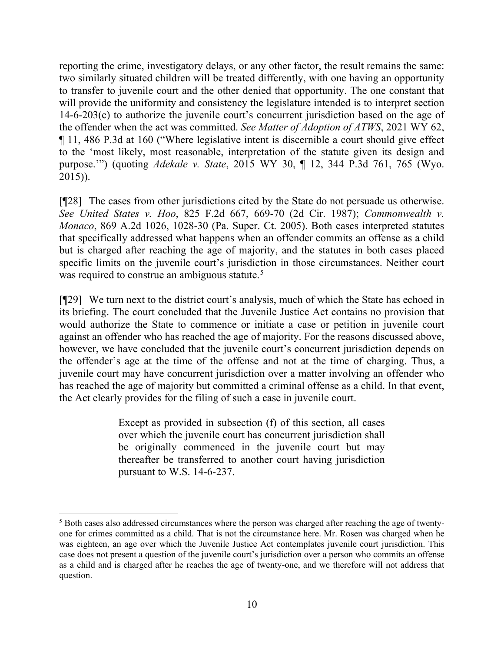reporting the crime, investigatory delays, or any other factor, the result remains the same: two similarly situated children will be treated differently, with one having an opportunity to transfer to juvenile court and the other denied that opportunity. The one constant that will provide the uniformity and consistency the legislature intended is to interpret section 14-6-203(c) to authorize the juvenile court's concurrent jurisdiction based on the age of the offender when the act was committed. *See Matter of Adoption of ATWS*, 2021 WY 62, ¶ 11, 486 P.3d at 160 ("Where legislative intent is discernible a court should give effect to the 'most likely, most reasonable, interpretation of the statute given its design and purpose.'") (quoting *Adekale v. State*[, 2015 WY 30, ¶ 12, 344 P.3d 761, 765 \(Wyo.](http://www.westlaw.com/Link/Document/FullText?findType=Y&serNum=2035504869&pubNum=0004645&originatingDoc=I8acc2e60adf211eba9d6c133a8bc9328&refType=RP&fi=co_pp_sp_4645_765&originationContext=document&vr=3.0&rs=cblt1.0&transitionType=DocumentItem&contextData=(sc.Search)#co_pp_sp_4645_765)  [2015\)\)](http://www.westlaw.com/Link/Document/FullText?findType=Y&serNum=2035504869&pubNum=0004645&originatingDoc=I8acc2e60adf211eba9d6c133a8bc9328&refType=RP&fi=co_pp_sp_4645_765&originationContext=document&vr=3.0&rs=cblt1.0&transitionType=DocumentItem&contextData=(sc.Search)#co_pp_sp_4645_765).

[¶28] The cases from other jurisdictions cited by the State do not persuade us otherwise. *See United States v. Hoo*, 825 F.2d 667, 669-70 (2d Cir. 1987); *Commonwealth v. Monaco*, 869 A.2d 1026, 1028-30 (Pa. Super. Ct. 2005). Both cases interpreted statutes that specifically addressed what happens when an offender commits an offense as a child but is charged after reaching the age of majority, and the statutes in both cases placed specific limits on the juvenile court's jurisdiction in those circumstances. Neither court was required to construe an ambiguous statute.<sup>[5](#page-10-0)</sup>

[¶29] We turn next to the district court's analysis, much of which the State has echoed in its briefing. The court concluded that the Juvenile Justice Act contains no provision that would authorize the State to commence or initiate a case or petition in juvenile court against an offender who has reached the age of majority. For the reasons discussed above, however, we have concluded that the juvenile court's concurrent jurisdiction depends on the offender's age at the time of the offense and not at the time of charging. Thus, a juvenile court may have concurrent jurisdiction over a matter involving an offender who has reached the age of majority but committed a criminal offense as a child. In that event, the Act clearly provides for the filing of such a case in juvenile court.

> Except as provided in subsection (f) of this section, all cases over which the juvenile court has concurrent jurisdiction shall be originally commenced in the juvenile court but may thereafter be transferred to another court having jurisdiction pursuant to [W.S. 14-6-237.](http://www.westlaw.com/Link/Document/FullText?findType=L&pubNum=1000377&cite=WYSTS14-6-237&originatingDoc=NCC7122F05C2611E99BC6FA497AD137A4&refType=LQ&originationContext=document&vr=3.0&rs=cblt1.0&transitionType=DocumentItem&contextData=(sc.UserEnteredCitation))

<span id="page-10-0"></span><sup>5</sup> Both cases also addressed circumstances where the person was charged after reaching the age of twentyone for crimes committed as a child. That is not the circumstance here. Mr. Rosen was charged when he was eighteen, an age over which the Juvenile Justice Act contemplates juvenile court jurisdiction. This case does not present a question of the juvenile court's jurisdiction over a person who commits an offense as a child and is charged after he reaches the age of twenty-one, and we therefore will not address that question.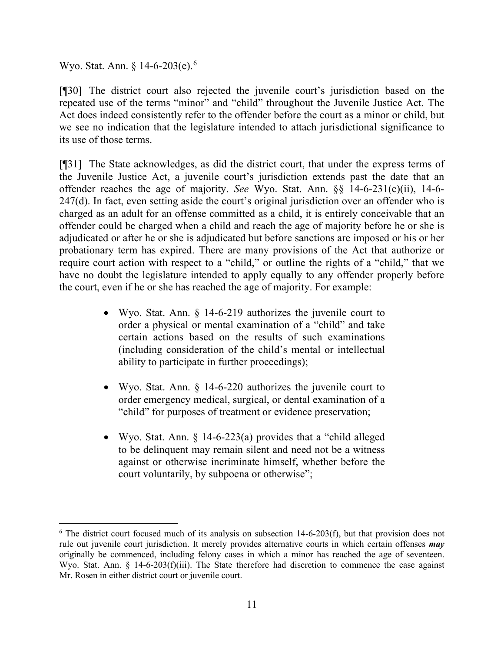Wyo. Stat. Ann. § 14-[6](#page-11-0)-203(e).<sup>6</sup>

[¶30] The district court also rejected the juvenile court's jurisdiction based on the repeated use of the terms "minor" and "child" throughout the Juvenile Justice Act. The Act does indeed consistently refer to the offender before the court as a minor or child, but we see no indication that the legislature intended to attach jurisdictional significance to its use of those terms.

[¶31] The State acknowledges, as did the district court, that under the express terms of the Juvenile Justice Act, a juvenile court's jurisdiction extends past the date that an offender reaches the age of majority. *See* Wyo. Stat. Ann. §§ 14-6-231(c)(ii), 14-6- 247(d). In fact, even setting aside the court's original jurisdiction over an offender who is charged as an adult for an offense committed as a child, it is entirely conceivable that an offender could be charged when a child and reach the age of majority before he or she is adjudicated or after he or she is adjudicated but before sanctions are imposed or his or her probationary term has expired. There are many provisions of the Act that authorize or require court action with respect to a "child," or outline the rights of a "child," that we have no doubt the legislature intended to apply equally to any offender properly before the court, even if he or she has reached the age of majority. For example:

- Wyo. Stat. Ann. § 14-6-219 authorizes the juvenile court to order a physical or mental examination of a "child" and take certain actions based on the results of such examinations (including consideration of the child's mental or intellectual ability to participate in further proceedings);
- Wyo. Stat. Ann. § 14-6-220 authorizes the juvenile court to order emergency medical, surgical, or dental examination of a "child" for purposes of treatment or evidence preservation;
- Wyo. Stat. Ann. § 14-6-223(a) provides that a "child alleged to be delinquent may remain silent and need not be a witness against or otherwise incriminate himself, whether before the court voluntarily, by subpoena or otherwise";

<span id="page-11-0"></span> $6$  The district court focused much of its analysis on subsection 14-6-203(f), but that provision does not rule out juvenile court jurisdiction. It merely provides alternative courts in which certain offenses *may* originally be commenced, including felony cases in which a minor has reached the age of seventeen. Wyo. Stat. Ann. § 14-6-203(f)(iii). The State therefore had discretion to commence the case against Mr. Rosen in either district court or juvenile court.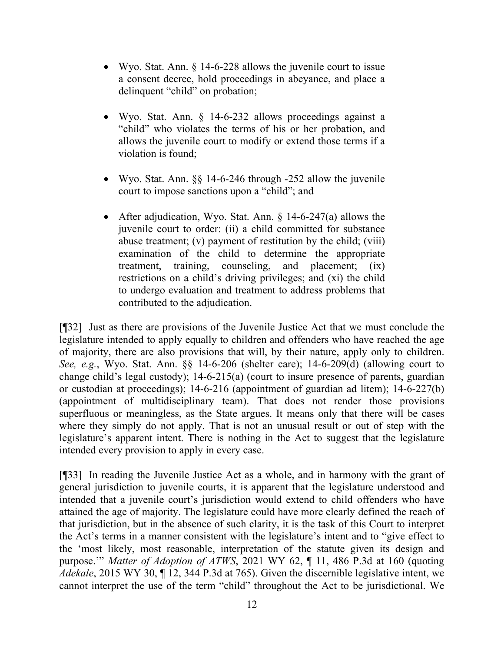- Wyo. Stat. Ann. § 14-6-228 allows the juvenile court to issue a consent decree, hold proceedings in abeyance, and place a delinquent "child" on probation;
- Wyo. Stat. Ann. § 14-6-232 allows proceedings against a "child" who violates the terms of his or her probation, and allows the juvenile court to modify or extend those terms if a violation is found;
- Wyo. Stat. Ann.  $\S$  14-6-246 through -252 allow the juvenile court to impose sanctions upon a "child"; and
- After adjudication, Wyo. Stat. Ann. § 14-6-247(a) allows the juvenile court to order: (ii) a child committed for substance abuse treatment; (v) payment of restitution by the child; (viii) examination of the child to determine the appropriate treatment, training, counseling, and placement; (ix) restrictions on a child's driving privileges; and (xi) the child to undergo evaluation and treatment to address problems that contributed to the adjudication.

[¶32] Just as there are provisions of the Juvenile Justice Act that we must conclude the legislature intended to apply equally to children and offenders who have reached the age of majority, there are also provisions that will, by their nature, apply only to children. *See, e.g.*, Wyo. Stat. Ann. §§ 14-6-206 (shelter care); 14-6-209(d) (allowing court to change child's legal custody); 14-6-215(a) (court to insure presence of parents, guardian or custodian at proceedings); 14-6-216 (appointment of guardian ad litem); 14-6-227(b) (appointment of multidisciplinary team). That does not render those provisions superfluous or meaningless, as the State argues. It means only that there will be cases where they simply do not apply. That is not an unusual result or out of step with the legislature's apparent intent. There is nothing in the Act to suggest that the legislature intended every provision to apply in every case.

[¶33] In reading the Juvenile Justice Act as a whole, and in harmony with the grant of general jurisdiction to juvenile courts, it is apparent that the legislature understood and intended that a juvenile court's jurisdiction would extend to child offenders who have attained the age of majority. The legislature could have more clearly defined the reach of that jurisdiction, but in the absence of such clarity, it is the task of this Court to interpret the Act's terms in a manner consistent with the legislature's intent and to "give effect to the 'most likely, most reasonable, interpretation of the statute given its design and purpose.'" *Matter of Adoption of ATWS*, 2021 WY 62, ¶ 11, 486 P.3d at 160 (quoting *Adekale*, [2015 WY 30, ¶ 12, 344 P.3d at](http://www.westlaw.com/Link/Document/FullText?findType=Y&serNum=2035504869&pubNum=0004645&originatingDoc=I8acc2e60adf211eba9d6c133a8bc9328&refType=RP&fi=co_pp_sp_4645_765&originationContext=document&vr=3.0&rs=cblt1.0&transitionType=DocumentItem&contextData=(sc.Search)#co_pp_sp_4645_765) 765). Given the discernible legislative intent, we cannot interpret the use of the term "child" throughout the Act to be jurisdictional. We